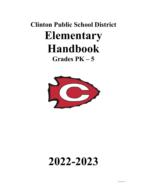## **Clinton Public School District Elementary Handbook Grades PK – 5**



# **2022-2023**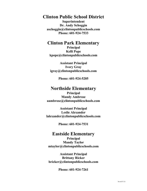## **Clinton Public School District**

**Superintendent Dr. Andy Schoggin aschoggin@clintonpublicschools.com Phone: 601-924-7533**

## **Clinton Park Elementary**

**Principal Kelli Pope kpope@clintonpublicschools.com**

**Assistant Principal Ivory Gray igray@clintonpublicschools.com**

**Phone: 601-924-5205**

## **Northside Elementary**

**Principal Mandy Ambrose aambrose@clintonpublicschools.com**

**Assistant Principal Leslie Alexander lalexander@clintonpublicschools.com**

**Phone: 601-924-7531**

### **Eastside Elementary**

**Principal Mandy Taylor mtaylor@clintonpublicschools.com**

**Assistant Principal Brittany Ricker bricker@clintonpublicschools.com**

**Phone: 601-924-7261**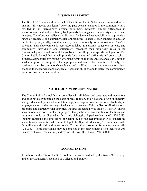#### **MISSION STATEMENT**

The Board of Trustees and personnel of the Clinton Public Schools are committed to the maxim, "all students can learn." Over the past decade, changes in the community have resulted in an increasingly diverse enrollment. Students exhibit differences in socioeconomic, cultural, and family backgrounds, learning capacities and styles, needs and interests. Therefore, we believe the district's fundamental responsibility is to provide a range of academic and extracurricular opportunities to enable each student to develop intellectually, physically, morally, socially, and emotionally to the maximum of his/her potential. This development is best accomplished as students, educators, parents, and community—individually and collectively—recognize their significant roles in the educational process and commit themselves to fulfilling their specific obligations. The Clinton Public School District will provide for students and staff a safe and orderly school climate, a democratic environment where the rights of all are respected, and clearly defined academic priorities supported by appropriate extracurricular activities. Finally, the curriculum must be continuously evaluated and modified to maintain relevancy to societal changes, to meet a wide range of special needs and abilities, and to reflect the community's quest for excellence in education.

#### **NOTICE OF NON-DISCRIMINATION**

The Clinton Public School District complies with all federal and state laws and regulations and does not discriminate on the basis of race, religion, color, national origin or ancestry, sex, gender identity, sexual orientation, age, marriage or veteran status or disability, in employment or in the delivery of educational services. This applies to all educational programs and extracurricular activities. Inquires associated with Title VI, Title IX, and/or accommodations for disabled employees, the public and accessibility of facilities and programs should be directed to Dr. Andy Schoggin, Superintendent at 601-924-7533. Inquires regarding the application of Section 504 of the Rehabilitation Act (concerning students with disabilities who are not eligible for Special Education) / Americans with Disability Act should be directed to Mr. Charles King, Assistant Superintendent at 601- 924-7533. These individuals may be contacted at the district main office located at 203 Easthaven Drive. The mailing address is P.O. Box 300, Clinton, MS 39060.

#### **ACCREDITATION**

All schools in the Clinton Public School District are accredited by the State of Mississippi and by the Southern Association of Colleges and Schools.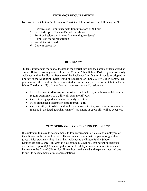#### **ENTRANCE REQUIREMENTS**

To enroll in the Clinton Public School District a child must have the following on file:

- 1. Certificate of Compliance with Immunizations (121 Form)
- 2. Certified copy of the child's birth certificate
- 3. Proof of Residency (2 items documenting residency)
- 4. Completed online registration
- 5. Social Security card
- 6. Copy of parent ID

#### **RESIDENCY**

Students must attend the school located in the district in which the parents or legal guardian resides. Before enrolling your child in the Clinton Public School District, you must verify residency within the district. Because of the Residency Verification Procedure adopted as a policy of the Mississippi State Board of Education on June 20, 1990, each parent, legal guardian, or other adult with whom a student lives must provide to the Clinton Public School District two (2) of the following documents to verify residency:

- Lease document (**all occupants** must be listed on lease; month to month leases will require submission of a utility bill each month) **OR**
- Current mortgage document or property deed **OR**
- Filed Homestead Exemption form (current) **and**
- Current utility bill (dated within 3 months electricity, gas, or water actual bill must be in the legal guardian's name.) No phone or cable bills will be accepted.

#### **CITY ORDINANCE CONCERNING RESIDENCY**

It is unlawful to make false statements to law enforcement officials and employees of the Clinton Public School District. This ordinance states that is a parent or guardian gives a false statement about his or her residence to a Clinton Public School District official to enroll children in a Clinton public School, that parent or guardian can be fined up to \$1,000 and/or jailed for up to 90 days. In addition, restitution shall be made to the City of Clinton for all man hours exhausted and expenses incurred due to such false statements or misrepresentations.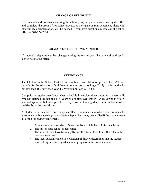#### **CHANGE OF RESIDENCY**

If a student's address changes during the school year, the parent must come by the office and complete the proof of residency process. A mortgage or rent document, along with other utility documentation, will be needed. If you have questions, please call the school office at 601-924-7531.

#### **CHANGE OF TELEPHONE NUMBER**

If student's telephone number changes during the school year, the parent should send a signed note to the office.

#### **ATTENDANCE**

The Clinton Public School District, in compliance with Mississippi Law 37-13-91, will provide for the education of children of compulsory school age (6-17) in this district for not less than 180 days each year, by Mississippi Law 37-13-63.

Compulsory regular attendance when school is in session always applies to every child who has attained the age of six (6) years on or before September 1. A child who is five (5) years of age on or before September 1 may enroll in kindergarten. The birth date must be verified by a birth certificate.

A student who has been previously enrolled in another state where law provides for enrollment before age six (6) on or before September 1 may be enrolled **if** the student meets all of the following requirements:

- 1. Parent was a legal resident of the state from which the child is transferring.
- 2. The out-of-state school is accredited.
- 3. The student must have been legally enrolled for at least four (4) weeks in the previous state; and
- 4. The local superintendent in a Mississippi district determines that the student was making satisfactory educational progress in the previous state.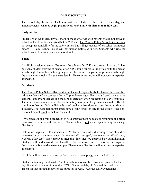#### **DAILY SCHEDULE**

The school day begins at **7:45 a.m**. with the pledge to the United States flag and announcements. **Classes begin promptly at 7:45 a.m. with dismissal at 2:25 p.m.**

#### **Early Arrival**

Students who walk each day to school or those who ride with parents should not arrive at school and will not be supervised before 7:10 a.m. The Clinton Public School District does not accept responsibility for the safety of non-bus riding students left on school campuses before 7:10 a.m. School buses will not unload before 7:10 a.m. Students who ride the school bus will be supervised and monitored.

#### **Tardy**

A child is considered tardy if he enters the school after 7:45 a.m., except in case of a late bus. Any student arriving at school after 7:45 should report to the office, with the person who brought him or her, before going to the classroom. The parent or person who brought the student to school will sign the student in. Five or more tardies will not constitute perfect attendance.

#### **Dismissals**

The Clinton Public School District does not accept responsibility for the safety of non-bus riding students left on campus after 3:00 p.m. Parents/guardians should send a note to the student's homeroom teacher and the school secretary when requesting an early dismissal. The student will remain in the classroom until you or your designee comes to the office to sign him or her out. Only individuals listed on the registration card are allowed to sign out a student. The custodial parent must have a court order on file in the office if the noncustodial parent is not to pick up the child.

Any changes in the way a student is to be dismissed must be made in writing to the office (handwritten note, email, fax, etc.). Phone calls are **not** an acceptable way to change dismissals.

Instruction begins at 7:45 and ends at 2:25. Early dismissal is discouraged and should be requested only in an emergency. *Parents are discouraged from requesting dismissal of students after 2:00.* Prior approval after this time must be approved by administration. Students will be dismissed from the office. Parents must come to the office and sign out the student before he/she leaves campus. Five or more dismissals will not constitute perfect attendance.

#### No child will be dismissed directly from the classroom, playground, or field trip.

Students attending for at least 63% of the school day will be considered present for that day. If a student is absent more than 37% of the school day, he/she will be marked as absent for that particular day for the purposes of ADA (Average Daily Attendance).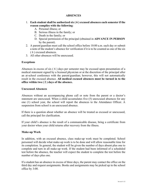#### **ABSENCES**

- 1. **Each student shall be authorized six ( 6 ) excused absences each semester if the reason complies with the following**:
	- A. Personal illness; or
	- B. Serious illness in the family; or
	- C. Death in the family; or
	- D. Special permission of the principal (obtained in **ADVANCE IN PERSON** by the parent).
- 2. A parent/guardian must call the school office before 10:00 a.m. each day or submit a note of the student's absence for verification if it is to be counted as one of the six ( 6 ) excused absences.
- 3. All other absences will be unexcused.

#### **Exceptions**

Absences in excess of six ( 6 ) days per semester may be excused upon presentation of a medical statement signed by a licensed physician or at the discretion of the principal after an at-school conference with the parent/guardian; however, this will not automatically result in the excused absence. **All medical excused absences must be turned in to the office within two ( 2 ) days of the absence.**

#### **Unexcused Absences**

Absences without an accompanying phone call or note from the parent or a doctor's statement are unexcused. When a child accumulates five (5) unexcused absences for any one (1) school year, the school will report the absences to the Attendance Officer. A suspension from school is an unexcused absence.

If there is a question about whether an absence will be treated as excused or unexcused, call the principal for clarification.

If your child's absence is the result of a communicable disease, bring a certificate from your doctor when your child returns after recovery from the illness.

#### **Make-up Work**

In addition, with an excused absence, class make-up work must be completed. School personnel will decide what make-up work is to be done and will allow reasonable time for its completion. In general, the student will be given the number of days absent plus one to complete and turn in all make-up work. If the student had been informed of a scheduled test before the absence, the teacher will expect the student to complete the test before the number of days plus one.

If a student has an absence in excess of three days, the parent may contact the office on the third day and request assignments. Books and assignments may be picked up in the school office by 3:00.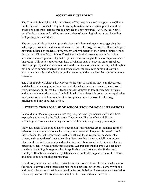#### **ACCEPTABLE USE POLICY**

The Clinton Public School District's Board of Trustees is pleased to support the Clinton Public School District's 1:1 Digital Learning Initiative, an innovative plan focused on enhancing academic learning through new technology resources. As such, the District provides its students and staff access to a variety of technological resources, including laptop computers and iPads.

The purpose of this policy is to provide clear guidelines and regulations regarding the safe, legal, considerate and responsible use of this technology, as well as all technological resources utilized by students, staff, parents, and volunteers of the Clinton Public School District. All Clinton Public School District technological resources and information stored on them are governed by district policies and are subject to school supervision and inspection. This policy applies regardless of whether such use occurs on or off school district property, and it applies to all school district technological resources, including but not limited to computer networks and connections, the resources, tools and learning environments made available by or on the networks, and all devices that connect to those networks.

The Clinton Public School District reserves the right to monitor, access, retrieve, read, and disclose all messages, information, and files which have been created, sent, posted from, stored on, or utilized by its technological resources to law enforcement officials and others without prior notice. Any individual who violates this policy or any applicable local, state, or federal laws is subject to disciplinary action, a loss of technology privileges and may face legal action.

#### **A. EXPECTATIONS FOR USE OF SCHOOL TECHNOLOGICAL RESOURCES**

School district technological resources may only be used by students, staff and others expressly authorized by the Technology Department. The use of school district technological resources, including access to the Internet, is a privilege, not a right.

Individual users of the school district's technological resources are responsible for their behavior and communications when using those resources. Responsible use of school district technological resources is use that is ethical, legal, respectful, academically honest, and supportive of student learning. Each user has the responsibility to respect others in the school community and on the Internet. Users are expected to abide by the generally accepted rules of network etiquette. General student and employee behavior standards, including those prescribed in applicable board policies, the Student and Employee Handbook, and other regulations and school rules, apply to use of the Internet and other school technological resources.

In addition, those who use school district computers or electronic devices or who access the school network or the Internet using school district resources must comply with the additional rules for responsible use listed in Section B, below. These rules are intended to clarify expectations for conduct but should not be construed as all-inclusive.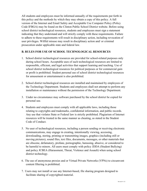All students and employees must be informed annually of the requirements put forth in this policy and the methods by which they may obtain a copy of this policy. A full version of the Internet and Email Safety and Acceptable Use Computer Policy (Policy Code IFBGA) may be found on the Clinton Public School District website. Before using school district technological resources, students and employees must sign a statement indicating that they understand and will strictly comply with these requirements. Failure to adhere to these requirements will result in disciplinary action, including revocation of user privileges. Willful misuse may result in disciplinary action and/ or criminal prosecution under applicable state and federal law.

#### **B. RULES FOR USE OF SCHOOL TECHNOLOGICAL RESOURCES**

- 1. School district technological resources are provided for school-related purposes only during school hours. Acceptable uses of such technological resources are limited to responsible, efficient, and legal activities that support learning and teaching. Use of school district technological resources for political purposes or for commercial gain or profit is prohibited. Student personal use of school district technological resources for amusement or entertainment is also prohibited.
- 2. School district technological resources are installed and maintained by employees of the Technology Department. Students and employees shall not attempt to perform any installation or maintenance without the permission of the Technology Department.
- 3. Under no circumstance may software purchased by the school district be copied for personal use.
- 4. Students and employees must comply with all applicable laws, including those relating to copyrights and trademarks, confidential information, and public records. Any use that violates State or Federal law is strictly prohibited. Plagiarism of Internet resources will be treated in the same manner as cheating, as stated in the Student Code of Conduct.
- 5. No user of technological resources, including a person sending or receiving electronic communications, may engage in creating, intentionally viewing, accessing, downloading, storing, printing or transmitting images, graphics (including still or moving pictures), sound files, text files, documents, messages, or other materials that are obscene, defamatory, profane, pornographic, harassing, abusive, or considered to be harmful to minors. All users must comply with policy JDDA (Student Bullying) and policy JCBEA (Harassment, Threat, Violence and Assault) when using school district technology.
- 6. The use of anonymous proxies and or Virtual Private Networks (VPNs) to circumvent content filtering is prohibited.
- 7. Users may not install or use any Internet-based, file sharing program designed to facilitate sharing of copyrighted material.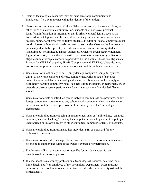- 8. Users of technological resources may not send electronic communications fraudulently (i.e., by misrepresenting the identity of the sender).
- 9. Users must respect the privacy of others. When using e-mail, chat rooms, blogs, or other forms of electronic communication, students must not reveal personal identifying information or information that is private or confidential, such as the home address, telephone number, credit or checking account information, or social security number of themselves or fellow students. In addition, school employees must not disclose on school district websites, web pages, or elsewhere on the Internet any personally identifiable, private, or confidential information concerning students (including but not limited to names, addresses, birthdates, social security numbers, login information, etc.) without the written permission of a parent or guardian or an eligible student, except as otherwise permitted by the Family Educational Rights and Privacy Act (FERPA) or policy JRAB (Compliance with FERPA). Users also may not forward or post personal communications without the author's prior consent.
- 10. Users may not intentionally or negligently damage computers, computer systems, digital or electronic devices, software, computer networks or data of any user connected to school district technological resources. Users may not knowingly or negligently transmit computer viruses, self-replicating messages, or deliberately try to degrade or disrupt system performance. Users must scan any downloaded files for viruses.
- 11. Users may not create or introduce games, network communications programs, or any foreign program or software onto any school district computer, electronic device, or network without the express permission of the employees of the Technology Department.
- 12. Users are prohibited from engaging in unauthorized, such as "jailbreaking," unlawful activities, such as "hacking," or using the computer network to gain or attempt to gain unauthorized or unlawful access to other computers, computer systems, or accounts.
- 13. Users are prohibited from using another individual's ID or password for any technological resource.
- 14. Users may not read, alter, change, block, execute, or delete files or communications belonging to another user without the owner's express prior permission.
- 15. Employees shall not use passwords or user IDs for any data system for an unauthorized or improper purpose.
- 16. If a user identifies a security problem on a technological resource, he or she must immediately notify an employee of the Technology Department. Users must not demonstrate the problem to other users. Any user identified as a security risk will be denied access.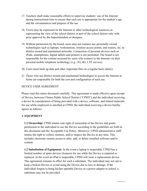- 17. Teachers shall make reasonable efforts to supervise students' use of the Internet during instructional time to ensure that such use is appropriate for the student's age and the circumstances and purpose of the use.
- 18. Views may be expressed on the Internet or other technological resources as representing the view of the school district or part of the school district only with prior approval by the Superintendent or designee.
- 19. Without permission by the board, users may not connect any personally owned technologies such as laptops, workstations, wireless access points, and routers, etc. to district owned and maintained networks. Connection of personal devices such as iPods, smartphones, digital tablets and printers is not permitted. The board is not responsible for the content accessed by users who connect to the Internet via their personal mobile telephone technology (e.g., 3G, 4G, LTE service).
- 20. Users must back up data and other important files on a regular basis (daily).
- 21. Those who use district owned and maintained technologies to access the Internet at home are responsible for both the cost and configuration of such use.

#### DEVICE USER AGREEMENT

Please read this entire document carefully. This agreement is made effective upon receipt of Device, between Clinton Public School District ("CPSD") and the individual receiving a device In consideration of being provided with a device, software, and related materials for use while employed or enrolled at CPSD, the individual receiving a device hereby agrees as follows:

#### **1. EQUIPMENT**

**1.1 Ownership:** CPSD retains sole right of ownership of the Device and grants permission to the individual to use the Device according to the guidelines set forth in this document and the Acceptable Use Policy. Moreover, CPSD administrative staff retains the right to collect, monitor, and/or inspect the Device at any time. This includes electronic remote access to alter, add, or delete installed software and/or content.

**1.2 Substitution of Equipment:** In the event a laptop is inoperable, CPSD has a limited number of spare devices (loaners) for use while the Device is repaired or replaced. In the event an iPad is inoperable, CPSD will issue a replacement device. This agreement remains in effect for such a substitute. The individual may not opt to keep a broken Device or avoid using the Device due to loss or damage. If the individual forgets to bring his/her operable Device or a power adapter to school, a substitute may not be provided.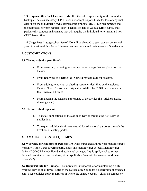**1.3 Responsibility for Electronic Data:** It is the sole responsibility of the individual to backup all data as necessary. CPSD does not accept responsibility for loss of any such data or for the individual's own software/music/photos, etc. CPSD recommends that the individual perform regular (daily) backups of data to Google Drive. CPSD may periodically conduct maintenance that will require the individual to re- install all non-CPSD issued files.

**1.4 Usage Fee:** A usage/school fee of \$50 will be charged to each student per school year. A portion of this fee will be used to cover repair and maintenance of the devices.

#### **2. CUSTOMIZATIONS**

#### **2.1 The individual is prohibited:**

- From covering, removing, or altering the asset tags that are placed on the Device.
- From removing or altering the District provided case for students.
- From adding, removing, or altering system critical files on the assigned Device. Note: The software originally installed by CPSD must remain on the Device at all times.
- From altering the physical appearance of the Device (i.e., stickers, skins, drawings, etc.).

#### **2.2 The individual is permitted:**

- 1. To install applications on the assigned Device through the Self-Service application.
- 2. To request additional software needed for educational purposes through the Freshdesk ticketing portal.

#### **3. DAMAGE OR LOSS OF EQUIPMENT**

**3.1 Warranty for Equipment Defects:** CPSD has purchased a three-year manufacturer's warranty (AppleCare) covering parts, labor, and manufacturer defects. Manufacturer defects DO NOT include liquid and accidental damages (liquid spill, cracked screen, dropped machine, excessive abuse, etc.). Applicable fines will be assessed as shown below (3.2).

**3.2 Responsibility for Damage:** The individual is responsible for maintaining a fully working Device at all times. Refer to the Device Care Guide for a description of expected care. These policies apply regardless of where the damage occurs – either on campus or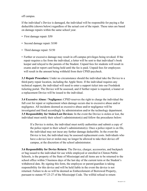#### off campus.

If the individual's Device is damaged, the individual will be responsible for paying a flat deductible (shown below) regardless of the actual cost of the repair. These rates are based on damage repairs within the same school year.

- First damage repair: \$50
- Second damage repair: \$100
- Third damage repair: \$150
- Further or excessive damage may result in off-campus privileges being revoked. If the repair requires a fee from the individual, a letter will be sent to that individual's book keeper and relayed to the parents of the Student. Unpaid fees for students will result in exams and/or report card being held until the fee is paid. Unpaid fees for employees will result in the amount being withheld from their CPSD paycheck.

**3.3 Repair Procedure:** Under no circumstance should the individual take the Device to a third-party repair location, including the Apple Store. If the individual requires any technical support, the individual will need to enter a support ticket into our Freshdesk ticketing portal. The Device will be assessed, and if further repair is required, a loaner or a replacement Device will be issued to the individual.

**3.4 Excessive Abuse / Negligence:** CPSD reserves the right to charge the individual the full cost for repair or replacement when damage occurs due to excessive abuse and/or negligence. All incidents deemed as excessive abuse and/or negligence will be investigated and fined accordingly by administration and/or the technology department. **3.5 Responsibility for Stolen/Lost Devices:** In the event the Device is stolen or lost, the individual must notify their school's administrator(s) and follow the procedures below:

If a Device is stolen, the individual must notify authorities and submit a copy of the police report to their school's administrator(s). Once a police report is on file, the individual may not incur any further damage deductible. In the event the Device is lost, the individual may be assessed replacement costs. Individuals who have a device lost or stolen may no longer be allowed to take their device off campus, at the discretion of the school administrator.

**3.6 Responsibility for Device Return:** The Device, charger, accessories, and backpack or bag issued to the individual for use while employed or enrolled in Clinton Public Schools, is the property of the State of Mississippi and all items are to be returned to the school office within 5 business days of the last day of the current term or the Student's withdrawal date. By signing this form, the employee or parent/guardian is taking responsibility for this device and will be held liable in the event the device is not returned. Failure to do so will be deemed as Embezzlement of Borrowed Property, pursuant to statute 97-23-27 of the Mississippi Code. The willful refusal to return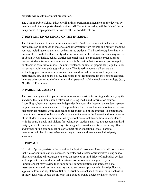property will result in criminal prosecution.

The Clinton Public School District will at times perform maintenance on the devices by imaging and other support-related services. All files not backed up will be deleted during this process. Keep a personal backup of all files for data retrieval.

#### **C. RESTRICTED MATERIAL ON THE INTERNET**

The Internet and electronic communications offer fluid environments in which students may access or be exposed to materials and information from diverse and rapidly changing sources, including some that may be harmful to students. The board recognizes that it is impossible to predict with certainty what information on the Internet students may access or obtain. Nevertheless, school district personnel shall take reasonable precautions to prevent students from accessing material and information that is obscene, pornographic, or otherwise harmful to minors, including violence, nudity, or graphic language that does not serve a legitimate pedagogical purpose. The Superintendent shall ensure that technology protection measures are used and are disabled or minimized only when permitted by law and board policy. The board is not responsible for the content accessed by users who connect to the Internet via their personal mobile telephone technology (e.g., 3G, 4G, LTE service).

#### **D. PARENTAL CONSENT**

The board recognizes that parents of minors are responsible for setting and conveying the standards their children should follow when using media and information sources. Accordingly, before a student may independently access the Internet, the student's parent or guardian must be made aware of the possibility that the student could obtain access to inappropriate material while engaged in independent use of the Internet. The parent and student must consent to the student's independent access to the Internet and to monitoring of the student's e-mail communication by school personnel. In addition, in accordance with the board's goals and visions for technology, students may require accounts in third party systems for school related projects designed to assist students in mastering effective and proper online communications or to meet other educational goals. Parental permission will be obtained when necessary to create and manage such third party accounts.

#### **E. PRIVACY**

No right of privacy exists in the use of technological resources. Users should not assume that files or communications accessed, downloaded, created or transmitted using school district technological resources or stored on services or hard drives of individual devices will be private. School district administrators or individuals designated by the Superintendent may review files, monitor all communication, and intercept e-mail messages to maintain system integrity and to ensure compliance with board policy and applicable laws and regulations. School district personnel shall monitor online activities of individuals who access the Internet via a school-owned device or district-owned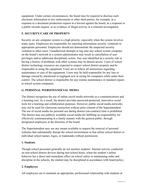equipment. Under certain circumstances, the board may be required to disclose such electronic information to law enforcement or other third parties, for example, as a response to a document production request in a lawsuit against the board, as a response to a public records request, or as evidence of illegal activity in a criminal investigation.

#### **F. SECURITY/CARE OF PROPERTY**

Security on any computer system is a high priority, especially when the system involves many users. Employees are responsible for reporting information security violations to appropriate personnel. Employees should not demonstrate the suspected security violation to other users. Unauthorized attempts to log onto any school system computer on the board's network as a system administrator may result in cancellation of user privileges and/or additional disciplinary action. Any user identified as a security risk or having a history of problems with other systems may be denied access. Users of school district technology resources are expected to respect school district property and be responsible in using the equipment. Users are to follow all instructions regarding maintenance or care of the equipment. Users may be held responsible for any loss or damage caused by intentional or negligent acts in caring for computers while under their control. The school district is responsible for any routine maintenance or standard repairs to school system computers.

#### **G. PERSONAL WEBSITES/SOCIAL MEDIA**

The district recognizes the use of online social media networks as a communications and e-learning tool. As a result, the district provides password-protected, innovative social tools for e-learning and collaboration purposes. However, public social media networks may not be used for classroom instruction without prior consent of the Superintendent. The use of social media for personal use during district (on-contract) time is prohibited. The district may use publicly available social media for fulfilling its responsibility for effectively communicating in a timely manner with the general public, through designated employees at the direction of the board.

The Superintendent may use any means available to request the removal of personal websites that substantially disrupt the school environment or that utilize school district or individual school names, logos, or trademarks without permission.

#### **1. Students**

Though school personnel generally do not monitor students' Internet activity conducted on non-school district devices during non-school hours, when the student's online behavior has a direct and immediate effect on school safety or maintaining order and discipline in the schools, the student may be disciplined in accordance with board policy.

#### **2. Employees**

All employees are to maintain an appropriate, professional relationship with students at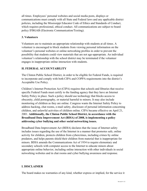all times. Employees' personal websites and social media posts, displays or communications must comply with all State and Federal laws and any applicable district policies, including the Mississippi Educator Code of Ethics and Standards of Conduct, which requires professional, ethical conduct. All communications are subject to board policy IFBGAB (Electronic Communication/Texting).

#### **3. Volunteers**

Volunteers are to maintain an appropriate relationship with students at all times. A volunteer is encouraged to block students from viewing personal information on the volunteer's personal websites or online networking profiles in order to prevent the possibility that students could view materials that are not age-appropriate. An individual volunteer's relationship with the school district may be terminated if the volunteer engages in inappropriate online interaction with students.

#### **H. FEDERAL ACCOUNTABILITY**

The Clinton Public School District, in order to be eligible for Federal Funds, is required to incorporate and comply with both CIPA and COPPA requirements into the district's Acceptable Use Policy.

Children's Internet Protection Act (CIPA) requires that schools and libraries that receive specific Federal Funds must certify to the funding agency that they have an Internet Safety Policy in place. Such a policy should use technology that blocks access to obscenity, child pornography, or material harmful to minors. It may also include monitoring of children as they are online. Congress wants the Internet Safety Policy to address hacking, chat rooms, e-mail safety, disclosure of personal information concerning children, and unlawful activities of children online. CIPA became effective on April 21, 2001. **Additionally, the Clinton Public School District, in accordance with the Broadband Data Improvement Act (BDIA) of 2008, is implementing a policy addressing cyber bullying and other social networking issues.**

Broadband Data Improvement Act (BDIA) declares that the issue of Internet safety includes issues regarding the use of the Internet in a manner that promotes safe, online activity for children, protects children from cybercrimes, including crimes by online predators, and helps parents shield their children from material that is inappropriate for minors. BDIA amends the Communications Act of 1934 to require elementary and secondary schools with computer access to the Internet to educate minors about appropriate online behavior, including online interaction with other individuals in social networking websites and in chat rooms and cyber bullying awareness and response.

#### **I. DISCLAIMER**

The board makes no warranties of any kind, whether express or implied, for the service it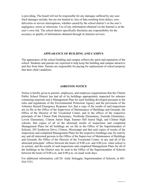is providing. The board will not be responsible for any damages suffered by any user. Such damages include, but are not limited to, loss of data resulting from delays, nondeliveries or service interruptions, whether caused by the school district's or the user's negligence, errors or omissions. Use of any information obtained via the Internet is at the user's own risk. The school district specifically disclaims any responsibility for the accuracy or quality of information obtained through its Internet services.

#### **APPEARANCE OF BUILDING AND CAMPUS**

The appearance of the school building and campus reflects the spirit and reputation of the school. Students and parents are expected to help keep the building and campus attractive and free from litter. Parents are responsible for paying for replacement of school property that their child vandalizes.

#### **ASBESTOS NOTICE**

Notice is hereby given to parents, employees, and employee organizations that the Clinton Public School District has had all of its buildings appropriately inspected for asbestos containing materials and a Management Plan for each building developed pursuant to the rules and regulations of the Environmental Protection Agency and the provisions of the Asbestos Hazard Emergency Response Act; that a copy of the results of said inspections are on file in the Office of the Supervisor of Maintenance of Buildings and Grounds, the Office of the Director of the Vocational Center, and in the offices of the respective principals of the Clinton Park Elementary, Northside Elementary, Eastside Elementary, Lovett Elementary, Clinton Junior High, Sumner Hill Junior High, and Clinton High schools; that copies of all of the aforesaid results of inspections and completed Management Plans for all buildings are on file in the Office of the Superintendent of Schools, 203 Easthaven Drive, Clinton, Mississippi and that said copies of results of the inspections and completed Management Plans for the respective buildings may be read by any and all interested persons in the Office of the Supervisor of Maintenance of Buildings and Grounds, the Office of the Director of the Vocational Center, in any and all of the aforesaid principals' offices between the hours of 8:00 a.m. and 4:00 p.m. when school is in session, and the results of said inspections and completed Management Plans for all of the buildings in the District may be read in the Office of the Superintendent of Schools between the hours of 8:00 a.m. and 4:00 p.m. on usual work days.

For additional information, call Dr. Andy Schoggin, Superintendent of Schools, at 601- 924-7533.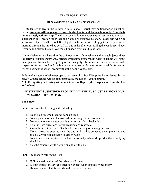#### **TRANSPORTATION**

#### **BUS SAFETY AND TRANSPORTATION**

All students who live in the Clinton Public School District may be transported on school buses. **Students will be permitted to ride the bus to and from school only from their home or assigned bus stop**. The district can no longer accept special requests to transport a student to any location other than their home or assigned bus stop. Passengers who ride a bus are subject to all School Board policies from the time they get on the bus in the morning through the time they get off the bus in the afternoon. Riding the bus is a privilege. If your child misses the bus, you must transport your child to school.

Any misbehavior is a hazard to the safe operation of the vehicle and, as such, jeopardizes the safety of all passengers. Any offense which immediately puts riders in danger will result in suspension from school. Fighting or throwing objects are counted as a bus report with suspension from school and the bus as a consequence. Parents are responsible for paying for replacement of school property that their child vandalizes.

Failure of a student to behave properly will result in a Bus Discipline Report issued by the driver. Consequences will be administered by the School Administrator.

**NOTE: Fighting or Hitting will result in a Bus Report plus suspension from the bus and school.** 

#### **ANY STUDENT SUSPENDED FROM RIDING THE BUS MUST BE PICKED UP FROM SCHOOL BY 3:00 P.M.**

#### **Bus Safety**

Pupil Directions for Loading and Unloading:

- 1. Be at your assigned loading zone on time.
- 2. Never play on or near the road while waiting for the bus to arrive.
- 3. Never run toward an approaching bus or run along beside it.
- 4. Look in both directions before crossing any roadway.
- 5. Cross the street in front of the bus before entering or leaving the bus.
- 6. Do not cross the street to enter the bus until the bus comes to a complete stop and the bus driver signals that it is safe to board.
- 7. Never bend over nor stoop to pick up items that you have dropped without notifying the driver.
- 8. Use the handrail while getting on and off the bus.

Pupil Directions While on the Bus:

- 1. Follow the directions of the driver at all times.
- 2. Do not distract the driver's attention except when absolutely necessary.
- 3. Remain seated at all times while the bus is in motion.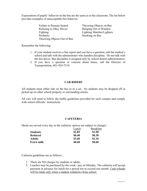Expectations of pupils' behavior on the bus are the same as in the classroom. The list below provides examples of unacceptable bus behavior.

| <b>Failure to Remain Seated</b> |
|---------------------------------|
| Refusing to Obey Driver         |
| Fighting                        |
| Profanity                       |
| Throwing Objects Out of Bus     |

Throwing Objects on Bus Hanging Out of Window Lighting Matches/Lighters **Smoking on Bus** 

Remember the following:

- 1. If your student receives a bus report and you have a question, call the student's school and talk with the administrator who handles discipline. Do not talk with the bus driver. Bus discipline is assigned only by school district administrators.
- 2. If you have a question or concern about buses, call the Director of Transportation, 601-924-7219.

#### **CAR RIDERS**

All students must either ride on the bus or in a car. No students may be dropped off or picked up on other school property or surrounding streets.

All cars will need to follow the traffic guidelines provided for each campus and comply with school officials' instructions.

#### **CAFETERIA**

Meals are served every day in the cafeteria. (prices are subject to change)

|                 | Lunch        | <b>Breakfast</b> |
|-----------------|--------------|------------------|
| <b>Students</b> | \$2.85       | \$1.90           |
| <b>Reduced</b>  | <b>SO.40</b> | <b>SO.30</b>     |
| <b>Adults</b>   | \$3.60       | \$2.10           |
| Extra milk      | \$0.60       | \$0.60           |

Cafeteria guidelines are as follows:

- 1. There are NO charges by students or adults.
- 2. Lunches may be purchased by the week pay on Monday. The cafeteria will accept payment in advance for lunch for a period not to exceed one month. Cash refunds will be made only when a student withdraws from school.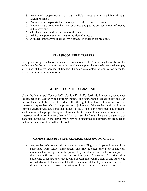- 3. Automated prepayments to your child's account are available through MySchoolBucks.
- 4. Parents should **separate** lunch money from other school expenses.
- 5. Parents should complete the lunch envelope and put the correct amount of money in the envelope.
- 6. Checks are accepted for the price of the meal.
- 7. Adults may purchase a full meal or portion of a meal.
- 8. A student must arrive at school by 7:30 a.m. in order to eat breakfast.

#### **CLASSROOM SUPPLIES/FEES**

Each grade compiles a list of supplies for parents to provide. A monetary fee is also set for each grade for the purchase of special instructional supplies. Parents who are unable to pay all or part of the fee because of financial hardship may obtain an application form for *Waiver of Fees* in the school office.

#### **AUTHORITY IN THE CLASSROOM**

Under the Mississippi Code of 1972, Section 37-11-55, Northside Elementary recognizes the teacher as the authority in classroom matters, and supports the teacher in any decision in compliance with the Code of Conduct. "It is the right of the teacher to remove from the classroom any student who, in the professional judgment of the teacher, is disrupting the learning environment, and send that student to the office of the principal. The principal shall determine the proper discipline placement for the student, who may not return to the classroom until a conference of some kind has been held with the parent, guardian, or custodian during which the disruptive behavior is discussed and agreements are reached that no further disruption will be allowed."

#### **CAMPUS SECURITY AND GENERAL CLASSROOM ORDER**

A. Any student who starts a disturbance or who willingly participates in one will be suspended from school immediately and may re-enter only after satisfactory assurance has been given to the principal by the student and /or his or her parents that there will not be a recurrence of this type of behavior. The principal is authorized to require any student who has been involved in a fight or any other type of disturbance to leave school for the remainder of the day when such action is deemed necessary to protect the safety of the student or the other students.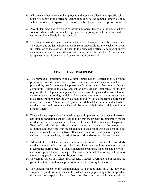- B. All persons other than school employees and pupils enrolled at that specific school must first report to the office to secure admission to the campus; otherwise, they will be considered trespassers and, as such, subjected to arrest and prosecution.
- C. Any student who has in his/her possession an object that would be classified as a weapon while he/she is on school grounds or is going to or from school will be suspended immediately by the principal.
- D. Teaching situations, which are conducive to learning, must be maintained. Therefore, any student whose actions make it impossible for the teacher to devote full attention to the class will be sent to the principal's office. A counselor and/or an administrator will review the case and try to resolve the problem. A student who is repeatedly sent from class will be suspended from school.

#### **CONDUCT AND DISCIPLINE**

- A. The purpose of education in the Clinton Public School District is to aid young persons to prepare themselves to live their adult lives at a maximum level of productivity, self-awareness, happiness, self-control, and in harmony with their community. Besides the development of physical and intellectual skills, this requires the development of a perceptive awareness of high standards of behavior, appearance and grooming, which will ease the maturation a young person must make from childhood into the world of adulthood. With this educational purpose in mind, the Clinton Public School System has defined the minimum standards of conduct, dress and grooming which will be acceptable for the participants in this school system.
- B. Those who are responsible for developing and implementing conduct and personal appearance regulations should keep in mind that the primary responsibility for the conduct and personal appearance of a student rests with the student and the parents. Every effort should be made to impress upon the student and the parents that discipline and order can only be maintained in the school when the school is not used as a vehicle for disruptive influences. In carrying out school regulations, students, parents, teachers, and administrators should observe rules and regulations.
- C. Administrators and teachers shall hold students to strict account for disorderly conduct or misconduct at any school, on the way to and from school, on the playgrounds during recess, at school meetings, programs, functions and activities, and upon special buses. The superintendent or administrators of any school may suspend any pupil from school for good cause.
- D. The administrators of a school may suspend a student overnight and/or require the parent to attend a conference prior to the student returning to school.
- E. The superintendent or the administrators of a school shall have the power to suspend a pupil for any reason for which such pupils might be suspended, dismissed, or expelled by the Board of Trustees, but such action of the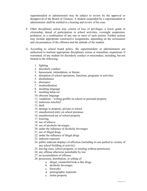superintendent or administrator may be subject to review by the approval or disapproval of the Board of Trustees. A student suspended by a superintendent or administrator shall be entitled to a hearing and review of his case.

- F. Other disciplinary action may consist of loss of privileges, a lower grade in citizenship, denial of participation in school activities, overnight suspension, probation, or a combination of any one or more of such actions. Further actions may include appropriate constructive assignments, depending on the seriousness and circumstances of the offenses and the attitude of the student.
- G. According to school board policy, the superintendent or administrators are authorized to institute appropriate disciplinary action or immediate suspension, if warranted, of any student for disorderly conduct or misconduct, including, but not limited to the following:
	- 1. fighting
	- 2. disorderly conduct
	- 3. harassment, intimidation, or threats
	- 4. disruption of school operations, functions, programs or activities
	- 5. disobedience
	- 6. disrespect
	- 7. insubordination
	- 8. insulting language
	- 9. insulting behavior
	- 10. obscene language
	- 11. vandalism writing graffiti on school or personal property
	- 12. malicious mischief
	- 13. theft
	- 14. damage to property, private or school
	- 15. unauthorized entry on school premises
	- 16. unauthorized use of school property
	- 17. loitering
	- 18. use of tobacco
	- 19. use of alcoholic beverages
	- 20. under the influence of alcoholic beverages
	- 21. use of illegal drugs
	- 22. under the influence of illegal drugs
	- 23. indecent exposure
	- 24. public indecent displays of affection (including in cars parked in vicinity of any school building or activity)
	- 25. leaving class, school program, or meeting without permission
	- 26. any offense otherwise punishable by law
	- 27. an accumulation of offenses
	- 28. possession, distribution, or selling of:
		- a. illegal, counterfeit/look-a-like drugs
		- b. alcoholic beverages
		- c. fireworks
		- d. pornographic materials
		- e. stolen property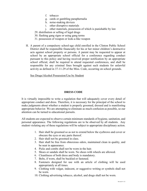- f. tobacco
- g. cards or gambling paraphernalia
- h. noise-making devices
- i. other disruptive materials
- j. other materials, possession of which is punishable by law
- 29. distribution or selling of legal drugs
- 30. flashing gang signs or using gang terms
- 31. possession of weapon or look-a-like weapon
- H. A parent of a compulsory school-age child enrolled in the Clinton Public School District shall be responsible financially for his or her minor children's destructive acts against school property or persons. A parent may be requested to appear at school by an appropriate school official for a conference regarding conduct pursuant to this policy and having received proper notification by an appropriate school official, shall be required to attend requested conferences, and shall be responsible for any criminal fines brought against such students for unlawful activity as defined in 37-11-29 of the Miss. Code, occurring on school grounds.

See Drugs/Alcohol Possession/Use by Student

#### **DRESS CODE**

It is virtually impossible to write a regulation that will adequately cover every detail of appropriate conduct and dress. Therefore, it is necessary for the principal of the school to make judgments about whether a student is properly groomed, dressed and is manifesting appropriate behavior. We are attempting to eliminate as much confusion as possible, so our attention can be turned to educational pursuits.

All students are expected to observe certain minimum standards of hygiene, sanitation, and personal appearance. The following regulations are to be observed by all students. Any student violating any of these regulations will be subject to appropriate disciplinary action.

- 1. Hair shall be groomed so as not to extend below the eyebrows and cover or obscure the eyes or any parts thereof.
- 2. Hair shall not be groomed in class.
- 3. Hair shall be free from obnoxious odors, maintained clean in quality, and be neat in appearance.
- 4. Picks and combs shall not be worn in the hair.
- 5. Shoes or sandals shall be worn. No shoes with wheels are allowed.
- 6. Cleanliness of both dress and body is mandatory.
- 7. Belts, if worn, shall be buckled or fastened.
- 8. Fasteners designed for use with an article of clothing will be used appropriately at all times.
- 9. Clothing with vulgar, indecent, or suggestive writing or symbols shall not be worn.
- 10. Clothing advertising tobacco, alcohol, and drugs shall not be worn.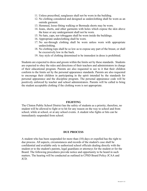- 11. Unless prescribed, sunglasses shall not be worn in the building.
- 12. No clothing considered and designed as underclothing shall be worn as an outside garment.
- 13. Hemmed, loose-fitting walking or Bermuda shorts may be worn.
- 14. Jeans, shorts, and other garments with holes which expose the skin above the knee or any undergarment shall not be worn.
- 15. No hats, caps, nor toboggans shall be worn inside the buildings.
- 16. Appropriate underclothing shall be worn.
- 17. No see-through clothing shall be worn unless worn with appropriate underclothing.
- 18. No clothing tops shall be so low as to expose any part of the breast, or shall be excessively low in the back.
- 19. Any style of clothing determined to be immodest in dress is prohibited.

Students are expected to dress and groom within the limits set by these standards. Students are expected to obey the rules and directions of their teachers and administrators in charge of their educational program. Parents are also requested to see to it that their children conform to the limits set by the personal appearance standards. Parents are also requested to encourage their children in participating in the spirit intended by the standards for personal appearance and the discipline program. The personal appearance code will be positively enforced by teacher and school administrators. Parents will be called to bring the student acceptable clothing if the clothing worn is not appropriate.

#### **FIGHTING**

The Clinton Public School District has the safety of students as a priority; therefore, no student will be allowed to fight or to hit for any reason on the way to school and from school, while at school, or at any school events. A student who fights or hits can be immediately suspended from school.

#### **DUE PROCESS**

A student who has been suspended for more than (10) days or expelled has the right to due process. All aspects, circumstances and records of the student's case shall be confidential and available only to authorized school officials dealing directly with the student or to the student's parents, legal guardians or attorneys for the student or for the Board. The following procedures provide notice and opportunity to be heard in such matters. The hearing will be conducted as outlined in CPSD Board Policy JCAA and JCD.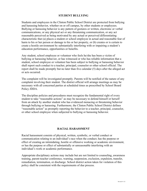#### **STUDENT BULLYING**

Students and employees in the Clinton Public School District are protected from bullying and harassing behavior, whether on or off campus, by other students or employees. Bullying or harassing behavior is any pattern of gestures or written, electronic or verbal communications, or any physical act or any threatening communication, or any act reasonable perceived as being motivated by any actual or perceived differentiating characteristic that (a) places a student or school employee in actual and reasonable fear of harm to his or her person or damage to his or her property, or (b) creates or is certain to create a hostile environment by substantially interfering with or impairing a student's education performance, opportunities or benefits.

Any student, school employee or volunteer who feels he/she has been a victim of bullying or harassing behavior, or has witnessed or who has reliable information that a student, school employee or volunteer has been subject to bullying or harassing behavior shall report such conduct to a teacher, principal, counselor or other school official. The report shall be made promptly but no later than five calendar (5) days after the alleged act or acts occurred.

The complaint will be investigated promptly. Parents will be notified of the nature of any complaint involving their student. The district official will arrange meetings as may be necessary with all concerned parties at scheduled times as prescribed by School Board Policy JDDA.

The discipline policies and procedures must recognize the fundamental right of every student to take "reasonable actions" as may be necessary to defend himself or herself from an attack by another student who has evidenced menacing or threatening behavior through bullying or harassing. Furthermore, the Clinton Public School District defines "reasonable action" as promptly reporting the behavior to a teacher, principal, counselor, or other school employee when subjected to bullying or harassing behavior.

#### **RACIAL HARASSMENT**

Racial harassment consists of physical, written, symbolic, or verbal conduct or communication relating to an individual's race when the conduct; has the purpose or effect of creating an intimidating, hostile or offensive working or academic environment, or has the purpose or effect of substantially or unreasonable interfering with an individual's work or academic performance.

Appropriate disciplinary actions may include but are not limited to counseling, awareness training, parent-teacher conference, warning, suspension, exclusion, expulsion, transfer, remediation, termination, or discharge. School district action taken for violation of this policy shall be consistent with the requirements of due process.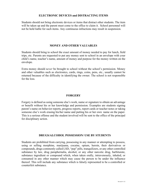#### **ELECTRONIC DEVICES and DISTRACTING ITEMS**

Students should not bring electronic devices or items that distract other students. The item will be taken up and the parent must come to the office to claim it. School personnel will not be held liable for such items. Any continuous infractions may result in suspension.

#### **MONEY AND OTHER VALUABLES**

Students should bring to school the exact amount of money needed to pay for lunch, field trips, etc. Parents are requested to put any money sent to school in an envelope with your child's name, teacher's name, amount of money and purpose for the money written on the envelope.

Extra money should *never* be brought to school without the school's permission. Money and other valuables such as electronics, cards, rings, coins, pens, etc., usually cannot be returned because of the difficulty in identifying the owner. The school is not responsible for the loss.

#### **FORGERY**

Forgery is defined as using someone else's work, name or signature to obtain an advantage or benefit without his or her knowledge and permission. Examples are students signing parent's name on behavior reports, progress reports, report cards or teacher notes or taking someone else's work erasing his/her name and putting his or her own name on the paper. This is a serious offense and the student involved will be sent to the office of the principal for disciplinary action.

#### **DRUGS/ALCOHOL POSSESSION/ USE BY STUDENTS**

Students are prohibited from carrying, possessing in any manner or attempting to possess, using or selling morphine, marijuana, cocaine, opium, heroin, their derivatives or compounds, drugs commonly called LSD, "pep" pills, tranquilizers, or any other controlled substance by law, drug paraphernalia, alcohol, or any other narcotic drug, barbiturate, substance ingredient or compound which, when taken orally, intravenously, inhaled, or consumed in any other manner which may cause the person to be under the influence thereof. This will include any substance which is falsely represented to be a controlled or counterfeit substance.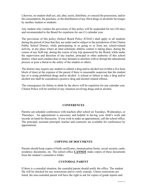Likewise, no student shall act, aid, abet, assist, distribute, or conceal the possession, and/or the consumption, the purchase, or the distribution of any illicit drugs or alcoholic beverages by another student or students.

Any student who violates the provisions of this policy will be suspended for ten (10) days and recommended to the Board for expulsion for one (1) calendar year.

The provisions of this policy (School Board Policy JCDAC) shall apply to all students during the period of time that they are under and/or subject to the jurisdiction of the Clinton Public School District, while participating in or going to or from any school-related activity, at any place where an inter-scholastic athletic contest is taking place, during the course of any field trip, during the course of any trip sponsored by the Board, while under the supervision and direction of any teacher, principal or other authority of this school district, when such conduct does or may threaten to interfere with or disrupt the educational process or pose a threat to the safety of the student or others.

The district may require any student to submit a drug and/or alcohol test (within a five hour block of time) at the expense of the parent if there is reasonable suspicion that the student has or is using prohibited drugs and/or alcohol. A refusal or failure to take a drug and/or alcohol test shall be considered a positive drug and alcohol related offense.

The consequence for failure to abide by the above will be expulsion for one calendar year. Clinton Police will be notified of any situation involving drugs and/or alcohol.

#### **CONFERENCES**

Parents can schedule conferences with teachers after school on Tuesdays, Wednesdays, or Thursdays. An appointment is necessary and helpful in having your child's work and records on hand for discussion. If you wish to make an appointment, call the school office. The principal, assistant principal, teacher and counselor are available for conferences by appointment.

#### **COPYING OF DOCUMENTS**

Parents should keep copies of birth certificates, immunization forms, social security cards, residency documents, etc. The school office **CANNOT** make copies of these documents from the student's cumulative folder.

#### **CUSTODIAL PARENT**

If there is a custodial situation, the custodial parent should notify the office. The student file will be checked for any restrictions and to verify custody. Unless restrictions are listed, the non-custodial parent will have the right to ask for copies of grade reports and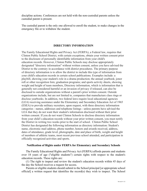discipline actions. Conferences are not held with the non-custodial parents unless the custodial parent is present.

The custodial parent is the only one allowed to enroll the student, to make changes in the emergency file or to withdraw the student.

#### **DIRECTORY INFORMATION**

The Family Educational Rights and Privacy Act (FERPA), a Federal law, requires that Clinton Public School District, with certain exceptions, obtain your written consent prior to the disclosure of personally identifiable information from your child's education records. However, Clinton Public Schools may disclose appropriately designated "directory information" without written consent, unless you have advised the District to the contrary in accordance with district procedures. The primary purpose of directory information is to allow the district to include this type of information from your child's education records in certain school publications. Examples include: a playbill, showing your student's role in a drama production; the annual yearbook; jonor roll or other recognition lists; graduation programs; and sports activity sheets, showing weight and height of team members, Directory information, which is information that is generally not considered harmful or an invasion of privacy if released, can also be disclosed to outside organizations without a parent's prior written consent. Outside organizations include, but are not limited to, companies that manufacture class rings or disclose yearbooks. In addition, two federal laws require local educational agencies (LEA) receiving assistance under the Elementary and Secondary Education Act of 1965 (ESEA) to provide military recruiters, upon request, with three directory information categories - names, addresses and telephone listings - unless parents have advised the LEA that they do not want their student's information disclosed without their prior written consent. If you do not want Clinton Schools to disclose directory information from your child's education records without your prior written consent, you must notify the District in writing two weeks prior to the start of school. Clinton Public School District has designated the following information as directory information: Student's name, electronic mail address, phone number, honors and awards received, address, dates of attendance, grade level, photographs, date and place of birth, weight and height of members of athletic teams, most recent previous school attended, and participation in officially recognized activities and sports.

#### **Notification of Rights under FERPA for Elementary and Secondary Schools**

The Family Educational Rights and Privacy Act (FERPA) affords parents and students over 18 years of age ("eligible students") certain rights with respect to the student's education records. These rights are:

(1) The right to inspect and review the student's education records within 45 days of the day the School receives a request for access.

Parents or eligible students should submit to the School principal [or appropriate school official] a written request that identifies the record(s) they wish to inspect. The School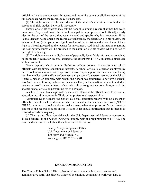official will make arrangements for access and notify the parent or eligible student of the time and place where the records may be inspected.

(2) The right to request the amendment of the student's education records that the parent or eligible student believes is inaccurate.

Parents or eligible students may ask the School to amend a record that they believe is inaccurate. They should write the School principal [or appropriate school official], clearly identify the part of the record they want changed and specify why it is inaccurate. If the School decides not to amend the record as requested by the parent or eligible student, the School will notify the parent or eligible student of the decision and advise them of their right to a hearing regarding the request for amendment. Additional information regarding the hearing procedures will be provided to the parent or eligible student when notified of the right to a hearing.

(3) The right to consent to disclosures of personally identifiable information contained in the student's education records, except to the extent that FERPA authorizes disclosure without consent.

One exception, which permits disclosure without consent, is disclosure to school officials with legitimate educational interests. A school official is a person employed by the School as an administrator, supervisor, instructor, or support staff member (including health or medical staff and law enforcement unit personnel); a person serving on the School Board; a person or company with whom the School has contracted to perform a special task (such as an attorney, auditor, medical consultant, or therapist); or a parent or student serving on an official committee, such as a disciplinary or grievance committee, or assisting another school official in performing his or her tasks.

A school official has a legitimate educational interest if the official needs to review an education record in order to fulfill his or her professional responsibility.

[Optional] Upon request, the School discloses education records without consent to officials of another school district in which a student seeks or intends to enroll. [NOTE: FERPA requires a school district to make a reasonable attempt to notify the parent or student of the records request unless it states in its annual notification that it intends to forward records on request.]

(4) The right to file a complaint with the U.S. Department of Education concerning alleged failures by the *School District* to comply with the requirements of FERPA. The name and address of the Office that administers FERPA are:

> Family Policy Compliance Office U.S. Department of Education 400 Maryland Avenue, SW Washington, DC 20202-5901

#### **EMAIL COMMUNICATION**

The Clinton Public School District has email service available to each teacher and administrative staff. The district's office of Technology continues to work very hard to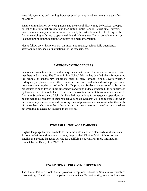keep this system up and running, however email service is subject to many areas of unreliability.

Email communication between parents and the school district may be blocked, dropped or lost by their internet provider and the Clinton Public School District email servers. Since there are many areas of influence in email, the district can not be held responsible for not receiving or failing to open email in a timely manner. Do not completely rely on this medium of communication for import or timely information.

Please follow up with a phone call on important matters, such as daily attendance, afternoon pickup, special instructions for the teachers, etc.

#### **EMERGENCY PROCEDURES**

Schools are sometimes faced with emergencies that require the total cooperation of staff members and students. The Clinton Public School District has detailed plans for operating the schools in emergency conditions such as fire, tornado, flood, severe weather, earthquake, explosions, and other disasters. Fire drills and other disaster preparedness measures are a regular part of each school's program. Students are expected to learn the procedures to be followed under emergency conditions and to cooperate fully as supervised by teachers. Parents should listen to the local radio or television stations for announcements from the Superintendent of Schools. Detailed instructions for emergency operations will be outlined to all students at their respective schools. Students will not be dismissed when the community is under a tornado warning. School personnel are responsible for the safety of the students who are in the hallway during a tornado warning; therefore, personnel are not available to check out students in the office.

#### **ENGLISH LANGUAGE LEARNERS**

English language learners are held to the same state-mandated standards as all students. Accommodations and interventions may be provided. Clinton Public Schools offers English as a second language service for qualifying students. For more information, contact Teresa Duke, 601-924-7533.

#### **EXCEPTIONAL EDUCATION SERVICES**

The Clinton Public School District provides Exceptional Education Services in a variety of class settings. The district participates in a statewide effort to identify, locate, and evaluate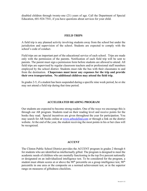disabled children through twenty-one (21) years of age. Call the Department of Special Education, 601-924-7541, if you have questions about services for your child.

#### **FIELD TRIPS**

A field trip is any planned activity involving students away from the school but under the jurisdiction and supervision of the school. Students are expected to comply with the school's code of conduct.

Field trips are an important part of the educational service of each school. Trips are made only with the permission of the parents. Notification of each field trip will be sent to parents. The parent must sign a permission form before students are allowed to attend. All field trips are supervised by regular classroom teachers and/or professional staff members employed by the school district. Students must ride the bus with their classmates to and from the destination. **Chaperones must incur any expenses for the trip and provide their own transportation. No additional children may attend the field trip.**

In grades 2-5, if a student has been suspended during a specific nine week period, he or she may not attend a field trip during that time period.

#### **ACCELERATED READING PROGRAM**

Our students are expected to become strong readers. One of the ways we encourage this is through our AR program. Students read on their reading level and receive points for the books they read. Special incentives are given throughout the year for participation. You may search for AR books online at www.arbookfind.com or through a link on the district website. At the end of the year, the student receiving the most points in his or her class will be recognized.

#### **ACCENT**

The Clinton Public School District provides the ACCENT program in grades 2 through 6 for students who are identified as intellectually gifted. The program is designed to meet the academic needs of children who are mentally functioning in the top five percent nationally or designated on an individualized intelligence test. To be considered for the program, a student must obtain scores at or above the  $90<sup>th</sup>$  percentile on a group intelligence test,  $90<sup>th</sup>$ percentile in one area or the composite on a normed achievement test, or in the superior range on measures of giftedness checklists.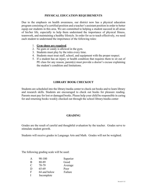#### **PHYSICAL EDUCATION REQUIREMENTS**

Due to the emphasis on health awareness, our district now has a physical education program consisting of a certified position and a teacher's assistant position in order to better equip our students in this area. We are committed to helping a student succeed in all areas of his/her life, especially to help them understand the importance of physical fitness, teamwork, and maintaining a healthy lifestyle. In order for us to teach effectively, we need each student to understand the importance of the following rules:

#### 1. **Gym shoes are required**.

- 2. No gum or candy is allowed in the gym.
- 3. Students must play by the rules every time.
- 4. Students must treat staff, school, and equipment with the proper respect.
- 5. If a student has an injury or health condition that requires them to sit out of PE class for any reason, parent(s) must provide a doctor's excuse explaining the student's condition and limitations.

#### **LIBRARY BOOK CHECKOUT**

Students are scheduled into the library/media center to check out books and to learn library and research skills. Students are encouraged to check out books for pleasure reading. Parents must pay for lost or damaged books. Please help your child be responsible in caring for and returning books weekly checked out through the school library/media center

#### **GRADING**

Grades are the result of careful and thoughtful evaluation by the teacher. Grades serve to stimulate student growth.

Students will receive grades in Language Arts and Math. Grades will not be weighted.

The following grading scale will be used:

| A           | 90-100       | Superior |
|-------------|--------------|----------|
| B           | 80-89        | Good     |
| C           | 70-79        | Average  |
| D           | 65-69        | Poor     |
| $\mathbf F$ | 64 and below | Failure  |
|             | Incomplete   |          |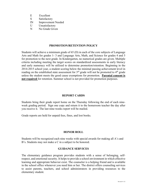- E Excellent
- S Satisfactory
- IN Improvement Needed
- U Unsatisfactory
- N No Grade Given

#### **PROMOTION/RETENTION POLICY**

Students will achieve a minimum grade of 65 (D) in each of the core subjects of Language Arts and Math for grades 1- 3 and Language Arts, Math, and Science for grades 4 and 5 for promotion to the next grade. In Kindergarten, no numerical grades are given. Multiple criteria including meeting the target scores on standardized assessments in early literacy and early numeracy will be utilized to determine promotion/retention. Beginning in the 2014-2015 school year, a student scoring below the minimal passing achievement level in reading on the established state assessment for  $3<sup>rd</sup>$  grade will not be promoted to  $4<sup>th</sup>$  grade unless the student meets the good cause exemptions for promotion. **Parental consent is not required** for retention. Summer school is not provided for promotion purposes.

#### **REPORT CARDS**

Students bring their grade report home on the Thursday following the end of each nineweek grading period. Sign one copy and return it to the homeroom teacher the day after you receive it. The last nine-weeks report will be mailed.

Grade reports are held for unpaid fees, fines, and lost books.

#### **HONOR ROLL**

Students will be recognized each nine weeks with special awards for making all A's and B's. Students may not make a C in a subject to be honored.

#### **GUIDANCE SERVICES**

The elementary guidance program provides students with a sense of belonging, selfrespect, and emotional security. It helps to provide a school environment in which effective learning and appropriate behavior exist. The counselor is a helping friend and is available in the school office whenever you need him or her. The district offers counseling services to assist parents, teachers, and school administrators in providing resources to the elementary student.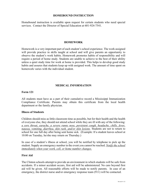#### **HOMEBOUND INSTRUCTION**

Homebound instruction is available upon request for certain students who need special services. Contact the Director of Special Education at 601-924-7541.

#### **HOMEWORK**

Homework is a very important part of each student's school experience. The work assigned will provide practice in skills taught at school and will give parents an opportunity to observe the student's work habits. Homework promotes habits of responsibility and will require a period of home study. Students are unable to achieve to the best of their ability unless a quiet study time for work at home is provided. This helps to develop good study habits and assures that students keep up with assigned work. The amount of time spent on homework varies with the individual student.

#### **MEDICAL INFORMATION**

#### **Form 121**

All students must have as a part of their cumulative record a Mississippi Immunization Compliance Certificate. Parents may obtain this certificate from the local health department or the family physician.

#### **Illness of Students**

Children should miss as little classroom time as possible, but for their health and the health of everyone else, they should not attend school while they are ill with any of the following: *a sore throat, earache, a severe runny nose, persistent cough, headache, chills, fever, nausea, vomiting, diarrhea, skin rash, and/or skin lesions*. Students are not to return to school for one full day after being sent home sick. (Example: If a student leaves school at 10:00 on Tuesday, he/she may return on Thursday.)

In case of a student's illness at school, you will be notified by telephone to pick up the student. Supply an emergency number in the event you cannot be reached. *Notify the school immediately when your work, cell, or home number changes.*

#### **First Aid**

The Clinton schools attempt to provide an environment in which students will be safe from accidents. If a minor accident occurs, first aid will be administered. No care beyond first aid will be given. All reasonable efforts will be made to notify parents. In case of an emergency, the district nurse and/or emergency response team (911) will be contacted.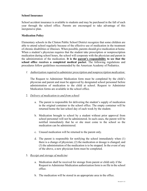#### **School Insurance**

School accident insurance is available to students and may be purchased in the fall of each year through the school office. Parents are encouraged to take advantage of this inexpensive plan.

#### **Medication Policy**

Elementary schools in the Clinton Public School District recognize that some children are able to attend school regularly because of the effective use of medication in the treatment of chronic disabilities or illnesses. When possible, parents should give medication at home. When a student's physician requires that the student take prescription or nonprescription medication during school hours, the school will cooperate with the physician and parent in the administration of the medication. **It is the parent's responsibility to see that the school office receives a completed medical packet**. The following regulations and procedures follow guidelines recommended by the American Academy of Pediatrics.

#### *1. Authorization required to administer prescription and nonprescription medication:*

The Request to Administer Medication form must be completed by the child's physician and parent and must be approved by designated school personnel before administration of medication to the child at school. Request to Administer Medication forms are available in the school office.

- 2. *Delivery of medication to and from school*:
	- a. The parent is responsible for delivering the student's supply of medication in the original container to the school office. The empty container will be returned home the last school day of each week by the student.
	- b. Medication brought to school by a student without prior approval from school personnel will not be administered. In such cases, the parent will be notified immediately that he or she must come to the school so the medication can be administered.
	- c. Unused medication will be returned to the parent only.
	- d. The parent is responsible for notifying the school immediately when (1) there is a change of physician; (2) the medication or dosage is changed; and (3) the administration of the medication is to be stopped. In the event of any of the above, a new physician form must be completed.

#### 3. *Receipt and storage of medicine*:

- a. Medication shall be received for storage from parent or child only if the Request to Administer Medication authorization form is on file in the school office.
- b. The medication will be stored in an appropriate area in the office.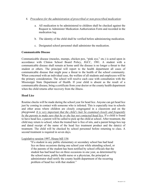- 4. *Procedures for the administration of prescribed or non-prescribed medication*:
	- a. All medication to be administered to children shall be checked against the Request to Administer Medication Authorization Form and recorded in the medication log.
	- b. The identity of the child shall be verified before administering medication.
	- c. Designated school personnel shall administer the medication.

#### **Communicable Disease**

Communicable disease (measles, mumps, chicken pox, "pink eye," etc.) is acted upon in accordance with Clinton School Board Policy, JGCC, 1981. A student with a communicable disease shall remain at home until the disease is no longer a threat to that student or others. The principal will report to the health department all cases of communicable disease that might pose a threat to the health of the school community. When concerned with an individual case, the welfare of all students and employees will be the primary consideration. The school will resolve each case with consultation with the Mississippi State Department of Health. If your child is absent as the result of a communicable disease, bring a certificate from your doctor or the county health department when the child returns after recovery from the illness.

#### **Head Lice**

Routine checks will be made during the school year for head lice. Anyone can get head lice just by coming in contact with someone who is infested. This is especially true in schools and other areas where children are closely congregated in a classroom and on the playground. *It is very important that the child's hair be examined closely and frequently by the parents to make sure that he or she has not contacted head lice.* If a child is found to have head lice, a parent will be called to pick up the child at school. After treatment, the child may return to school, when the treated hair is free of nits, and a parent brings box top and dated receipt of the name of the head lice treatment product and the date(s) of treatment. The child will be checked by school personnel before returning to class. A second treatment is required in seven days.

#### Legislative session 1997, House bill 154:

"If a student in any public elementary or secondary school has had head lice on three occasions during one school year while attending school, or if the parents of the student has been notified by school officials that the student has had head lice on three occasions in one year, as determined by the school nurse, public health nurse or a physician, the principal or administrator shall notify the county health department of the recurring problem of head lice with that student."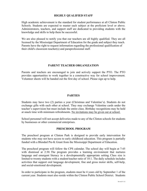#### **HIGHLY QUALIFIED STAFF**

High academic achievement is the standard for student performance at all Clinton Public Schools. Students are expected to master each subject at the proficient level or above. Administrators, teachers, and support staff are dedicated to providing students with the knowledge and skills to help them be successful.

We are also pleased to notify you that our teachers are all highly qualified. They are all licensed by the Mississippi Department of Education for the grade and subject they teach. Parents have the right to request information regarding the professional qualification of their child's classroom teacher(s) and paraprofessional staff.

#### **PARENT TEACHER ORGANIZATION**

Parents and teachers are encouraged to join and actively support the PTO. The PTO provides opportunities to work together in a constructive way for school improvement. Volunteer sheets will be handed out the first day of school. Please sign up to help.

#### **PARTIES**

Students may have two (2) parties a year (Christmas and Valentine's). Students do not exchange gifts with each other at school. They may exchange Valentine cards under the teacher's supervision but must include the entire class. Birthday recognitions may be held at snack time with minimum refreshments. No invitations may be given out at school.

School personnel will not accept deliveries made to any of the Clinton schools for students by businesses or other commercial enterprises.

#### **PRESCHOOL PROGRAM**

The preschool program at Clinton Park is designed to provide early intervention for students who may not have access to early childhood education. This program is partially funded with a Blended Pre-K Grant from the Mississippi Department of Education.

The preschool program will follow the CPS calendar. The school day will begin at 7:45 with dismissal at 2:30. The program provides a learning environment that nurtures language and emergent literacy in a developmentally appropriate setting. Class size is limited to twenty students with a student/teacher ratio of 10:1. The daily schedule includes activities that support oral language development, fine and gross motor skills, self-help, and social-emotional development.

In order to participate in the program, students must be 4 years old by September 1 of the current year. Students must also reside within the Clinton Public School District. Students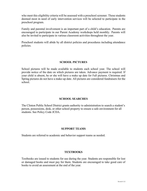who meet this eligibility criteria will be assessed with a preschool screener. Those students deemed most in need of early intervention services will be selected to participate in the preschool program.

Family and parental involvement is an important part of a child's education. Parents are encouraged to participate in our Parent Academy workshops held monthly. Parents will also be invited to participate in various classroom activities throughout the year.

Preschool students will abide by all district policies and procedures including attendance policies.

#### **SCHOOL PICTURES**

School pictures will be made available to students each school year. The school will provide notice of the date on which pictures are taken. Advance payment is required. If your child is absent, he or she will have a make up date for Fall pictures. Christmas and Spring pictures do not have a make-up date. All pictures are considered fundraisers for the school.

#### **SCHOOL SEARCHES**

The Clinton Public School District grants authority to administration to search a student's person, possessions, desk, or other school property to ensure a safe environment for all students. See Policy Code JCDA.

#### **SUPPORT TEAMS**

Students are referred to academic and behavior support teams as needed.

#### **TEXTBOOKS**

Textbooks are issued to students for use during the year. Students are responsible for lost or damaged books and must pay for them. Students are encouraged to take good care of books to avoid an assessment at the end of the year.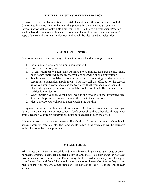#### **TITLE I PARENT INVOLVEMENT POLICY**

Because parental involvement is an essential element in a child's success in school, the Clinton Public School District believes that parental involvement should be a vital, integral part of each school's Title I program. The Title I Parent Involvement Program shall be based on school and home cooperation, collaboration, and communication. A copy of the school's Parent Involvement Policy will be distributed at registration.

#### **VISITS TO THE SCHOOL**

Parents are welcome and encouraged to visit our school under these guidelines:

- 1. Sign in upon arrival and sign out upon your exit.
- 2. List the reason for your visit.
- 3. All classroom observation visits are limited to 30 minutes for parents only. These must be pre-approved by the teacher you are observing or an administrator.
- 4. Teachers are not available to conference with parents during the day unless the parent has a scheduled appointment. You may call the office to let the teacher know you want a conference, and the teacher will call you back to schedule it.
- 5. Please always have your photo ID available in the event that office personnel need verification of identity.
- 6. When meeting your child for lunch, wait in the cafeteria in the designated area. After lunch, please do not walk your child back to the classroom.
- 7. Please silence your cell phone upon entering the building.

Every moment we have with your child is precious. Our teachers welcome visits with you during their planning time or after school. Conferences should be scheduled through your child's teacher. Classroom observations must be scheduled though the office.

It is not necessary to visit the classroom if a child has forgotten an item, such as lunch, snack, classroom materials, etc. The items should be left in the office and will be delivered to the classroom by office personnel.

#### **LOST AND FOUND**

Print names on *ALL* school materials and removable clothing such as lunch bags or boxes, raincoats, sweaters, coats, caps, mittens, scarves, and boots. Use *permanent ink markers*. Lost articles are kept in the office. Parents may check for lost articles any time during the school year. Lost and Found items will be on display on Parent Conference Day and on nights of PTO events. Unclaimed items will be donated to the 4C's at the end of each semester.